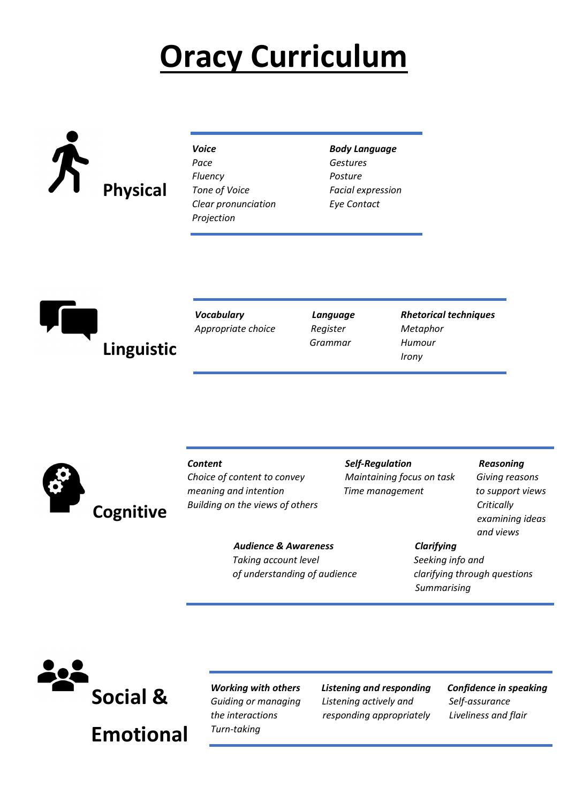# Oracy Curriculum

# Physical

| Voice                |
|----------------------|
| Pace                 |
| <b>Fluency</b>       |
| <b>Tone of Voice</b> |
| Clear pronunciation  |
| Projection           |
|                      |

**Body Language Gestures** Posture Facial expression Eye Contact



| Vocabulary         |
|--------------------|
| Appropriate choice |

Grammar Humour

Language Rhetorical techniques Register Metaphor **Irony** *Irony* 



Building on the views of others Critically Critically

Content Content Self-Regulation Reasoning Choice of content to convey Maintaining focus on task Giving reasons meaning and intention Time management to support views

 examining ideas and views

Audience & Awareness Clarifying Taking account level Seeking info and of understanding of audience clarifying through questions

**Summarising** 



Turn-taking

Working with others Listening and responding Confidence in speaking Guiding or managing Listening actively and Self-assurance the interactions responding appropriately Liveliness and flair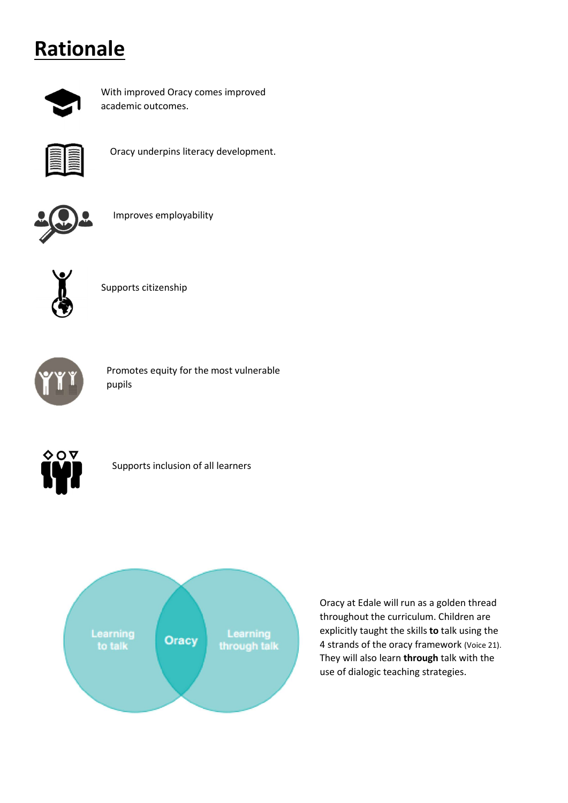## **Rationale**



With improved Oracy comes improved academic outcomes.



Oracy underpins literacy development.



Improves employability



Supports citizenship



Promotes equity for the most vulnerable pupils



Supports inclusion of all learners



Oracy at Edale will run as a golden thread throughout the curriculum. Children are explicitly taught the skills to talk using the 4 strands of the oracy framework (Voice 21). They will also learn through talk with the use of dialogic teaching strategies.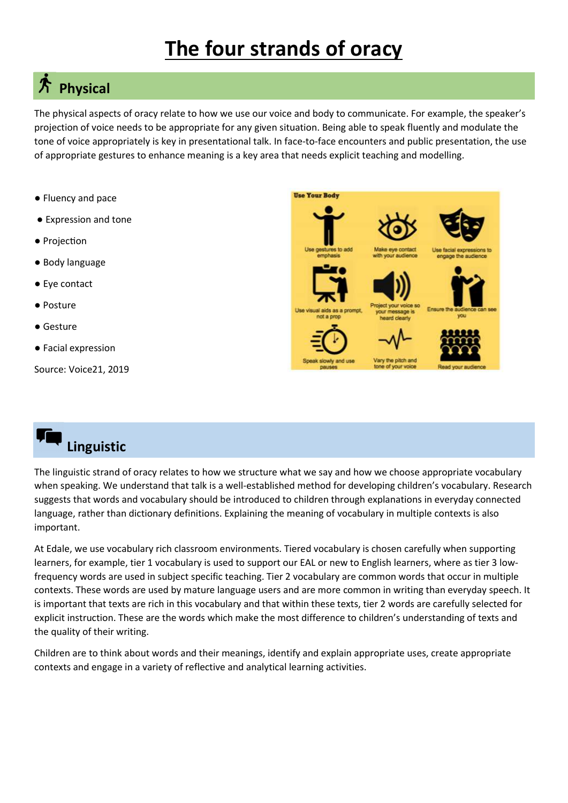## The four strands of oracy

## $*$  Physical

The physical aspects of oracy relate to how we use our voice and body to communicate. For example, the speaker's projection of voice needs to be appropriate for any given situation. Being able to speak fluently and modulate the tone of voice appropriately is key in presentational talk. In face-to-face encounters and public presentation, the use of appropriate gestures to enhance meaning is a key area that needs explicit teaching and modelling.

- Fluency and pace
- Expression and tone
- Projection
- Body language
- Eye contact
- Posture
- Gesture
- Facial expression

Source: Voice21, 2019

## Linguistic

The linguistic strand of oracy relates to how we structure what we say and how we choose appropriate vocabulary when speaking. We understand that talk is a well-established method for developing children's vocabulary. Research suggests that words and vocabulary should be introduced to children through explanations in everyday connected language, rather than dictionary definitions. Explaining the meaning of vocabulary in multiple contexts is also important.

At Edale, we use vocabulary rich classroom environments. Tiered vocabulary is chosen carefully when supporting learners, for example, tier 1 vocabulary is used to support our EAL or new to English learners, where as tier 3 lowfrequency words are used in subject specific teaching. Tier 2 vocabulary are common words that occur in multiple contexts. These words are used by mature language users and are more common in writing than everyday speech. It is important that texts are rich in this vocabulary and that within these texts, tier 2 words are carefully selected for explicit instruction. These are the words which make the most difference to children's understanding of texts and the quality of their writing.

Children are to think about words and their meanings, identify and explain appropriate uses, create appropriate contexts and engage in a variety of reflective and analytical learning activities.

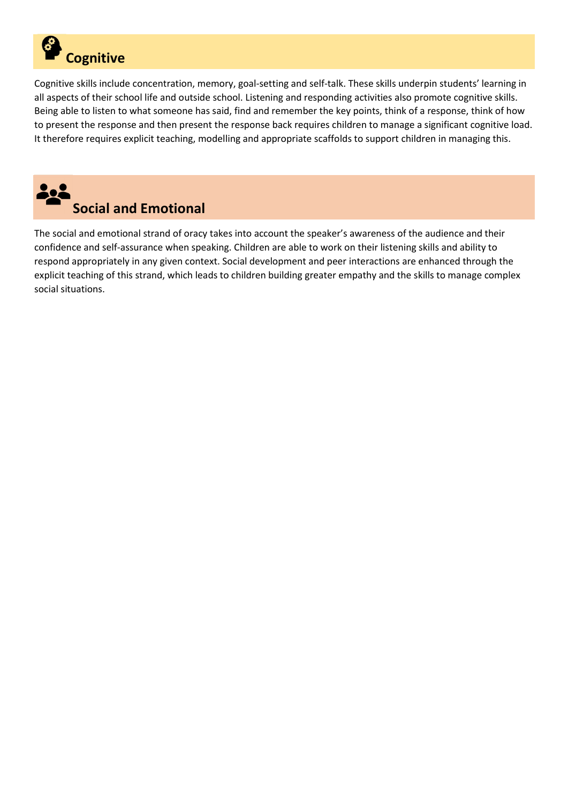

Cognitive skills include concentration, memory, goal-setting and self-talk. These skills underpin students' learning in all aspects of their school life and outside school. Listening and responding activities also promote cognitive skills. Being able to listen to what someone has said, find and remember the key points, think of a response, think of how to present the response and then present the response back requires children to manage a significant cognitive load. It therefore requires explicit teaching, modelling and appropriate scaffolds to support children in managing this.



The social and emotional strand of oracy takes into account the speaker's awareness of the audience and their confidence and self-assurance when speaking. Children are able to work on their listening skills and ability to respond appropriately in any given context. Social development and peer interactions are enhanced through the explicit teaching of this strand, which leads to children building greater empathy and the skills to manage complex social situations.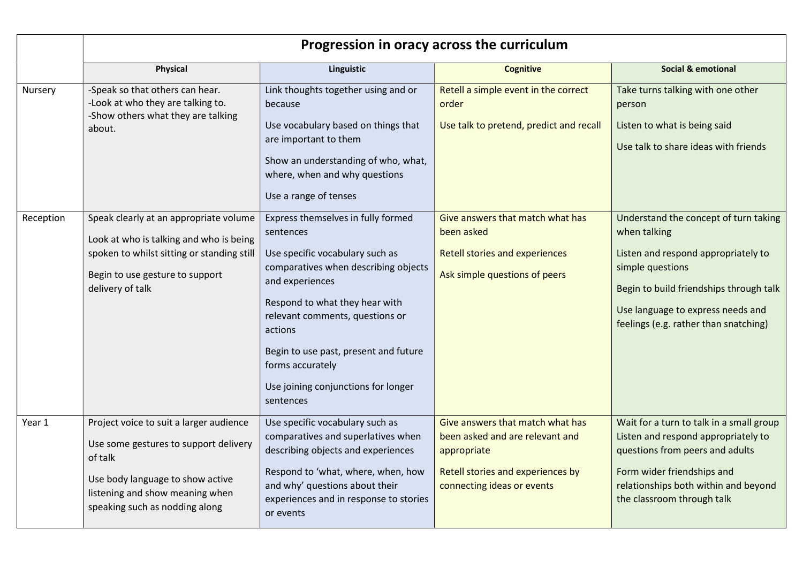|           | Progression in oracy across the curriculum                                                                                                                                                           |                                                                                                                                                                                                                                                                                                                                                |                                                                                                                                                       |                                                                                                                                                                                                                                           |  |  |
|-----------|------------------------------------------------------------------------------------------------------------------------------------------------------------------------------------------------------|------------------------------------------------------------------------------------------------------------------------------------------------------------------------------------------------------------------------------------------------------------------------------------------------------------------------------------------------|-------------------------------------------------------------------------------------------------------------------------------------------------------|-------------------------------------------------------------------------------------------------------------------------------------------------------------------------------------------------------------------------------------------|--|--|
|           | <b>Physical</b>                                                                                                                                                                                      | Linguistic                                                                                                                                                                                                                                                                                                                                     | <b>Cognitive</b>                                                                                                                                      | <b>Social &amp; emotional</b>                                                                                                                                                                                                             |  |  |
| Nursery   | -Speak so that others can hear.<br>-Look at who they are talking to.<br>-Show others what they are talking<br>about.                                                                                 | Link thoughts together using and or<br>because<br>Use vocabulary based on things that<br>are important to them<br>Show an understanding of who, what,<br>where, when and why questions<br>Use a range of tenses                                                                                                                                | Retell a simple event in the correct<br>order<br>Use talk to pretend, predict and recall                                                              | Take turns talking with one other<br>person<br>Listen to what is being said<br>Use talk to share ideas with friends                                                                                                                       |  |  |
| Reception | Speak clearly at an appropriate volume<br>Look at who is talking and who is being<br>spoken to whilst sitting or standing still<br>Begin to use gesture to support<br>delivery of talk               | Express themselves in fully formed<br>sentences<br>Use specific vocabulary such as<br>comparatives when describing objects<br>and experiences<br>Respond to what they hear with<br>relevant comments, questions or<br>actions<br>Begin to use past, present and future<br>forms accurately<br>Use joining conjunctions for longer<br>sentences | Give answers that match what has<br>been asked<br><b>Retell stories and experiences</b><br>Ask simple questions of peers                              | Understand the concept of turn taking<br>when talking<br>Listen and respond appropriately to<br>simple questions<br>Begin to build friendships through talk<br>Use language to express needs and<br>feelings (e.g. rather than snatching) |  |  |
| Year 1    | Project voice to suit a larger audience<br>Use some gestures to support delivery<br>of talk<br>Use body language to show active<br>listening and show meaning when<br>speaking such as nodding along | Use specific vocabulary such as<br>comparatives and superlatives when<br>describing objects and experiences<br>Respond to 'what, where, when, how<br>and why' questions about their<br>experiences and in response to stories<br>or events                                                                                                     | Give answers that match what has<br>been asked and are relevant and<br>appropriate<br>Retell stories and experiences by<br>connecting ideas or events | Wait for a turn to talk in a small group<br>Listen and respond appropriately to<br>questions from peers and adults<br>Form wider friendships and<br>relationships both within and beyond<br>the classroom through talk                    |  |  |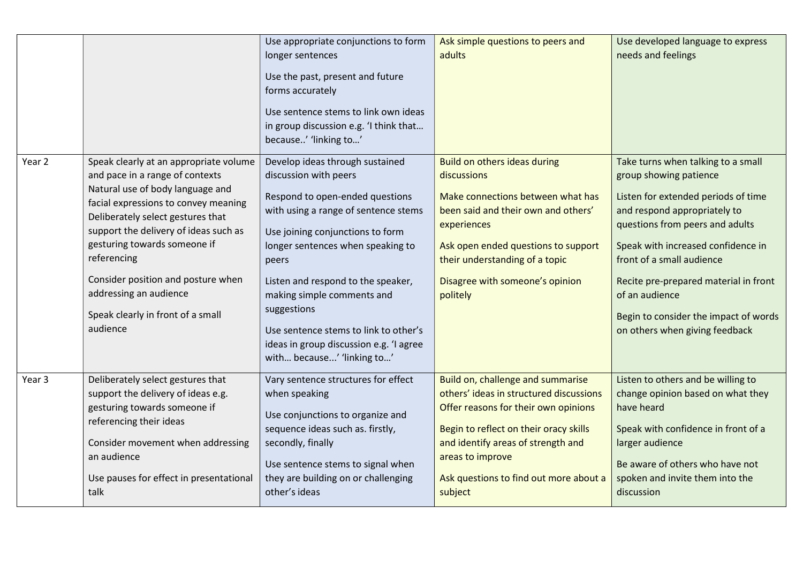|        |                                                                                                                                                                                                                                                                                                                                                                                                     | Use appropriate conjunctions to form<br>longer sentences<br>Use the past, present and future<br>forms accurately<br>Use sentence stems to link own ideas<br>in group discussion e.g. 'I think that<br>because' 'linking to'                                                                                                                                                                                                | Ask simple questions to peers and<br>adults                                                                                                                                                                                                                                   | Use developed language to express<br>needs and feelings                                                                                                                                                                                                                                                                                                                         |
|--------|-----------------------------------------------------------------------------------------------------------------------------------------------------------------------------------------------------------------------------------------------------------------------------------------------------------------------------------------------------------------------------------------------------|----------------------------------------------------------------------------------------------------------------------------------------------------------------------------------------------------------------------------------------------------------------------------------------------------------------------------------------------------------------------------------------------------------------------------|-------------------------------------------------------------------------------------------------------------------------------------------------------------------------------------------------------------------------------------------------------------------------------|---------------------------------------------------------------------------------------------------------------------------------------------------------------------------------------------------------------------------------------------------------------------------------------------------------------------------------------------------------------------------------|
| Year 2 | Speak clearly at an appropriate volume<br>and pace in a range of contexts<br>Natural use of body language and<br>facial expressions to convey meaning<br>Deliberately select gestures that<br>support the delivery of ideas such as<br>gesturing towards someone if<br>referencing<br>Consider position and posture when<br>addressing an audience<br>Speak clearly in front of a small<br>audience | Develop ideas through sustained<br>discussion with peers<br>Respond to open-ended questions<br>with using a range of sentence stems<br>Use joining conjunctions to form<br>longer sentences when speaking to<br>peers<br>Listen and respond to the speaker,<br>making simple comments and<br>suggestions<br>Use sentence stems to link to other's<br>ideas in group discussion e.g. 'I agree<br>with because' 'linking to' | Build on others ideas during<br>discussions<br>Make connections between what has<br>been said and their own and others'<br>experiences<br>Ask open ended questions to support<br>their understanding of a topic<br>Disagree with someone's opinion<br>politely                | Take turns when talking to a small<br>group showing patience<br>Listen for extended periods of time<br>and respond appropriately to<br>questions from peers and adults<br>Speak with increased confidence in<br>front of a small audience<br>Recite pre-prepared material in front<br>of an audience<br>Begin to consider the impact of words<br>on others when giving feedback |
| Year 3 | Deliberately select gestures that<br>support the delivery of ideas e.g.<br>gesturing towards someone if<br>referencing their ideas<br>Consider movement when addressing<br>an audience<br>Use pauses for effect in presentational<br>talk                                                                                                                                                           | Vary sentence structures for effect<br>when speaking<br>Use conjunctions to organize and<br>sequence ideas such as. firstly,<br>secondly, finally<br>Use sentence stems to signal when<br>they are building on or challenging<br>other's ideas                                                                                                                                                                             | Build on, challenge and summarise<br>others' ideas in structured discussions<br>Offer reasons for their own opinions<br>Begin to reflect on their oracy skills<br>and identify areas of strength and<br>areas to improve<br>Ask questions to find out more about a<br>subject | Listen to others and be willing to<br>change opinion based on what they<br>have heard<br>Speak with confidence in front of a<br>larger audience<br>Be aware of others who have not<br>spoken and invite them into the<br>discussion                                                                                                                                             |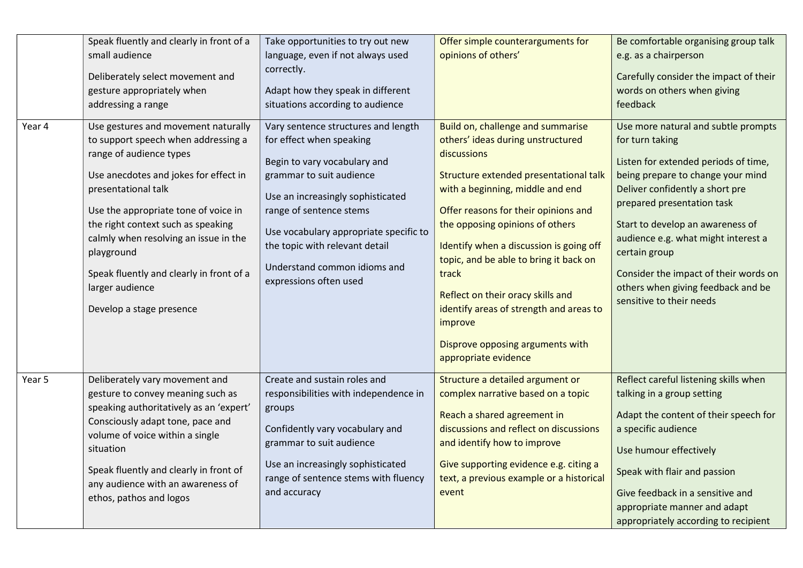| Year 4 | Speak fluently and clearly in front of a<br>small audience<br>Deliberately select movement and<br>gesture appropriately when<br>addressing a range<br>Use gestures and movement naturally                                                                                                                                                                      | Take opportunities to try out new<br>language, even if not always used<br>correctly.<br>Adapt how they speak in different<br>situations according to audience<br>Vary sentence structures and length                                                                                       | Offer simple counterarguments for<br>opinions of others'<br>Build on, challenge and summarise                                                                                                                                                                                                                                                                                                                                                                  | Be comfortable organising group talk<br>e.g. as a chairperson<br>Carefully consider the impact of their<br>words on others when giving<br>feedback<br>Use more natural and subtle prompts                                                                                                                                                                            |
|--------|----------------------------------------------------------------------------------------------------------------------------------------------------------------------------------------------------------------------------------------------------------------------------------------------------------------------------------------------------------------|--------------------------------------------------------------------------------------------------------------------------------------------------------------------------------------------------------------------------------------------------------------------------------------------|----------------------------------------------------------------------------------------------------------------------------------------------------------------------------------------------------------------------------------------------------------------------------------------------------------------------------------------------------------------------------------------------------------------------------------------------------------------|----------------------------------------------------------------------------------------------------------------------------------------------------------------------------------------------------------------------------------------------------------------------------------------------------------------------------------------------------------------------|
|        | to support speech when addressing a<br>range of audience types<br>Use anecdotes and jokes for effect in<br>presentational talk<br>Use the appropriate tone of voice in<br>the right context such as speaking<br>calmly when resolving an issue in the<br>playground<br>Speak fluently and clearly in front of a<br>larger audience<br>Develop a stage presence | for effect when speaking<br>Begin to vary vocabulary and<br>grammar to suit audience<br>Use an increasingly sophisticated<br>range of sentence stems<br>Use vocabulary appropriate specific to<br>the topic with relevant detail<br>Understand common idioms and<br>expressions often used | others' ideas during unstructured<br>discussions<br>Structure extended presentational talk<br>with a beginning, middle and end<br>Offer reasons for their opinions and<br>the opposing opinions of others<br>Identify when a discussion is going off<br>topic, and be able to bring it back on<br>track<br>Reflect on their oracy skills and<br>identify areas of strength and areas to<br>improve<br>Disprove opposing arguments with<br>appropriate evidence | for turn taking<br>Listen for extended periods of time,<br>being prepare to change your mind<br>Deliver confidently a short pre<br>prepared presentation task<br>Start to develop an awareness of<br>audience e.g. what might interest a<br>certain group<br>Consider the impact of their words on<br>others when giving feedback and be<br>sensitive to their needs |
| Year 5 | Deliberately vary movement and<br>gesture to convey meaning such as<br>speaking authoritatively as an 'expert'<br>Consciously adapt tone, pace and<br>volume of voice within a single<br>situation<br>Speak fluently and clearly in front of<br>any audience with an awareness of<br>ethos, pathos and logos                                                   | Create and sustain roles and<br>responsibilities with independence in<br>groups<br>Confidently vary vocabulary and<br>grammar to suit audience<br>Use an increasingly sophisticated<br>range of sentence stems with fluency<br>and accuracy                                                | Structure a detailed argument or<br>complex narrative based on a topic<br>Reach a shared agreement in<br>discussions and reflect on discussions<br>and identify how to improve<br>Give supporting evidence e.g. citing a<br>text, a previous example or a historical<br>event                                                                                                                                                                                  | Reflect careful listening skills when<br>talking in a group setting<br>Adapt the content of their speech for<br>a specific audience<br>Use humour effectively<br>Speak with flair and passion<br>Give feedback in a sensitive and<br>appropriate manner and adapt<br>appropriately according to recipient                                                            |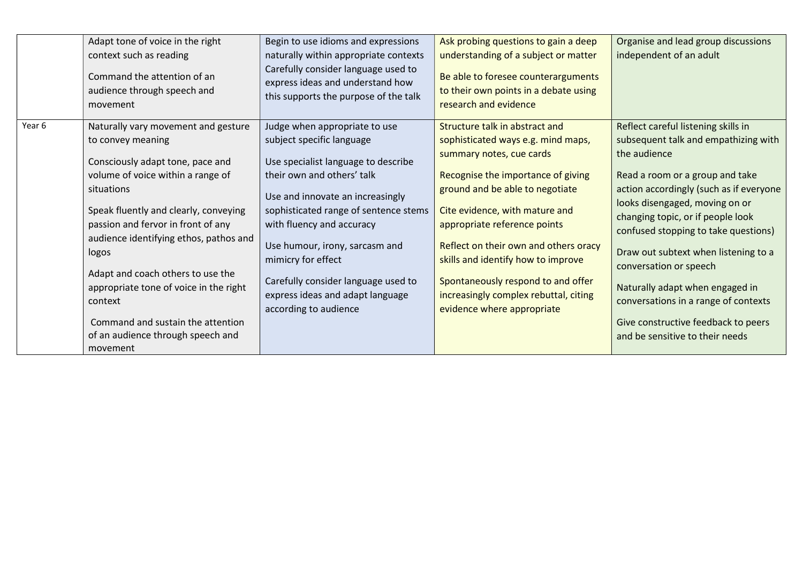|        | Adapt tone of voice in the right<br>context such as reading<br>Command the attention of an<br>audience through speech and<br>movement                                                                                                                                                                                                                                                                                                                             | Begin to use idioms and expressions<br>naturally within appropriate contexts<br>Carefully consider language used to<br>express ideas and understand how<br>this supports the purpose of the talk                                                                                                                                                                                                      | Ask probing questions to gain a deep<br>understanding of a subject or matter<br>Be able to foresee counterarguments<br>to their own points in a debate using<br>research and evidence                                                                                                                                                                                                                                                   | Organise and lead group discussions<br>independent of an adult                                                                                                                                                                                                                                                                                                                                                                                                                                                  |
|--------|-------------------------------------------------------------------------------------------------------------------------------------------------------------------------------------------------------------------------------------------------------------------------------------------------------------------------------------------------------------------------------------------------------------------------------------------------------------------|-------------------------------------------------------------------------------------------------------------------------------------------------------------------------------------------------------------------------------------------------------------------------------------------------------------------------------------------------------------------------------------------------------|-----------------------------------------------------------------------------------------------------------------------------------------------------------------------------------------------------------------------------------------------------------------------------------------------------------------------------------------------------------------------------------------------------------------------------------------|-----------------------------------------------------------------------------------------------------------------------------------------------------------------------------------------------------------------------------------------------------------------------------------------------------------------------------------------------------------------------------------------------------------------------------------------------------------------------------------------------------------------|
| Year 6 | Naturally vary movement and gesture<br>to convey meaning<br>Consciously adapt tone, pace and<br>volume of voice within a range of<br>situations<br>Speak fluently and clearly, conveying<br>passion and fervor in front of any<br>audience identifying ethos, pathos and<br>logos<br>Adapt and coach others to use the<br>appropriate tone of voice in the right<br>context<br>Command and sustain the attention<br>of an audience through speech and<br>movement | Judge when appropriate to use<br>subject specific language<br>Use specialist language to describe<br>their own and others' talk<br>Use and innovate an increasingly<br>sophisticated range of sentence stems<br>with fluency and accuracy<br>Use humour, irony, sarcasm and<br>mimicry for effect<br>Carefully consider language used to<br>express ideas and adapt language<br>according to audience | Structure talk in abstract and<br>sophisticated ways e.g. mind maps,<br>summary notes, cue cards<br>Recognise the importance of giving<br>ground and be able to negotiate<br>Cite evidence, with mature and<br>appropriate reference points<br>Reflect on their own and others oracy<br>skills and identify how to improve<br>Spontaneously respond to and offer<br>increasingly complex rebuttal, citing<br>evidence where appropriate | Reflect careful listening skills in<br>subsequent talk and empathizing with<br>the audience<br>Read a room or a group and take<br>action accordingly (such as if everyone<br>looks disengaged, moving on or<br>changing topic, or if people look<br>confused stopping to take questions)<br>Draw out subtext when listening to a<br>conversation or speech<br>Naturally adapt when engaged in<br>conversations in a range of contexts<br>Give constructive feedback to peers<br>and be sensitive to their needs |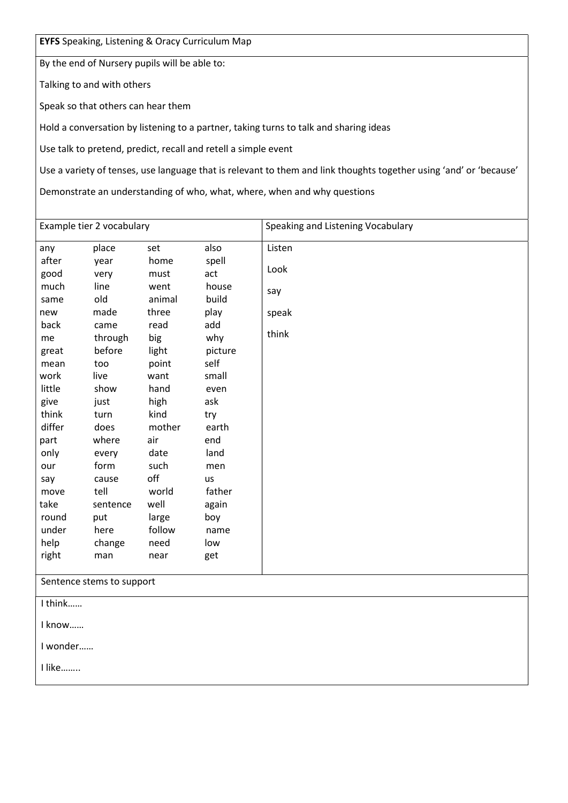EYFS Speaking, Listening & Oracy Curriculum Map

By the end of Nursery pupils will be able to:

Talking to and with others

Speak so that others can hear them

Hold a conversation by listening to a partner, taking turns to talk and sharing ideas

Use talk to pretend, predict, recall and retell a simple event

Use a variety of tenses, use language that is relevant to them and link thoughts together using 'and' or 'because'

Demonstrate an understanding of who, what, where, when and why questions

| Example tier 2 vocabulary |                           |        |         | Speaking and Listening Vocabulary |  |
|---------------------------|---------------------------|--------|---------|-----------------------------------|--|
| any                       | place                     | set    | also    | Listen                            |  |
| after                     | year                      | home   | spell   |                                   |  |
| good                      | very                      | must   | act     | Look                              |  |
| much                      | line                      | went   | house   | say                               |  |
| same                      | old                       | animal | build   |                                   |  |
| new                       | made                      | three  | play    | speak                             |  |
| back                      | came                      | read   | add     |                                   |  |
| me                        | through                   | big    | why     | think                             |  |
| great                     | before                    | light  | picture |                                   |  |
| mean                      | too                       | point  | self    |                                   |  |
| work                      | live                      | want   | small   |                                   |  |
| little                    | show                      | hand   | even    |                                   |  |
| give                      | just                      | high   | ask     |                                   |  |
| think                     | turn                      | kind   | try     |                                   |  |
| differ                    | does                      | mother | earth   |                                   |  |
| part                      | where                     | air    | end     |                                   |  |
| only                      | every                     | date   | land    |                                   |  |
| our                       | form                      | such   | men     |                                   |  |
| say                       | cause                     | off    | us      |                                   |  |
| move                      | tell                      | world  | father  |                                   |  |
| take                      | sentence                  | well   | again   |                                   |  |
| round                     | put                       | large  | boy     |                                   |  |
| under                     | here                      | follow | name    |                                   |  |
| help                      | change                    | need   | low     |                                   |  |
| right                     | man                       | near   | get     |                                   |  |
|                           | Sentence stems to support |        |         |                                   |  |
| I think                   |                           |        |         |                                   |  |
| I know                    |                           |        |         |                                   |  |
| I wonder                  |                           |        |         |                                   |  |
| I like                    |                           |        |         |                                   |  |
|                           |                           |        |         |                                   |  |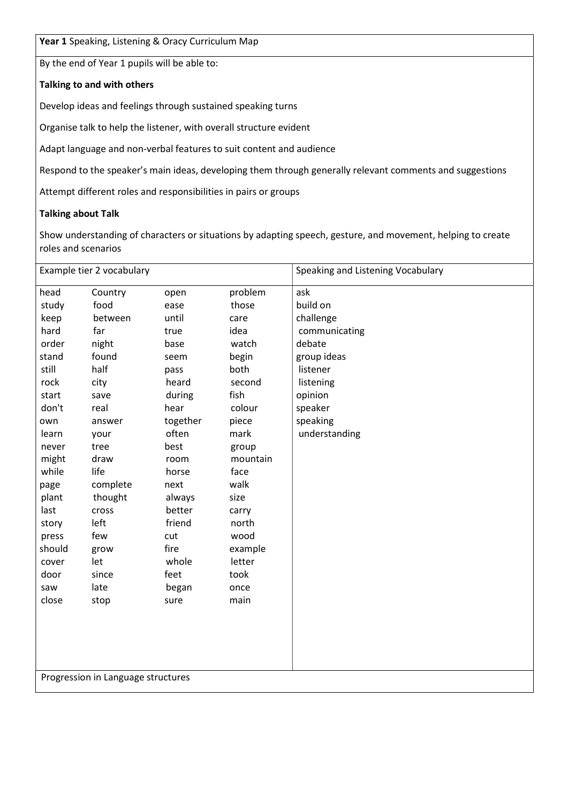Year 1 Speaking, Listening & Oracy Curriculum Map

By the end of Year 1 pupils will be able to:

#### Talking to and with others

Develop ideas and feelings through sustained speaking turns

Organise talk to help the listener, with overall structure evident

Adapt language and non-verbal features to suit content and audience

Respond to the speaker's main ideas, developing them through generally relevant comments and suggestions

Attempt different roles and responsibilities in pairs or groups

#### Talking about Talk

Show understanding of characters or situations by adapting speech, gesture, and movement, helping to create roles and scenarios

|        | Example tier 2 vocabulary          |          |          | Speaking and Listening Vocabulary |
|--------|------------------------------------|----------|----------|-----------------------------------|
| head   | Country                            | open     | problem  | ask                               |
| study  | food                               | ease     | those    | build on                          |
| keep   | between                            | until    | care     | challenge                         |
| hard   | far                                | true     | idea     | communicating                     |
| order  | night                              | base     | watch    | debate                            |
| stand  | found                              | seem     | begin    | group ideas                       |
| still  | half                               | pass     | both     | listener                          |
| rock   | city                               | heard    | second   | listening                         |
| start  | save                               | during   | fish     | opinion                           |
| don't  | real                               | hear     | colour   | speaker                           |
| own    | answer                             | together | piece    | speaking                          |
| learn  | your                               | often    | mark     | understanding                     |
| never  | tree                               | best     | group    |                                   |
| might  | draw                               | room     | mountain |                                   |
| while  | life                               | horse    | face     |                                   |
| page   | complete                           | next     | walk     |                                   |
| plant  | thought                            | always   | size     |                                   |
| last   | cross                              | better   | carry    |                                   |
| story  | left                               | friend   | north    |                                   |
| press  | few                                | cut      | wood     |                                   |
| should | grow                               | fire     | example  |                                   |
| cover  | let                                | whole    | letter   |                                   |
| door   | since                              | feet     | took     |                                   |
| saw    | late                               | began    | once     |                                   |
| close  | stop                               | sure     | main     |                                   |
|        |                                    |          |          |                                   |
|        |                                    |          |          |                                   |
|        |                                    |          |          |                                   |
|        |                                    |          |          |                                   |
|        |                                    |          |          |                                   |
|        | Progression in Language structures |          |          |                                   |
|        |                                    |          |          |                                   |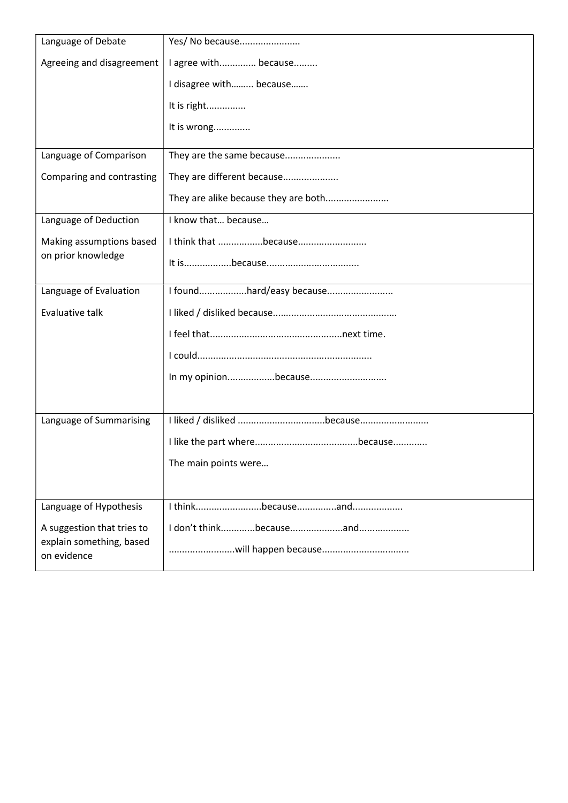| Language of Debate                      | Yes/ No because                      |
|-----------------------------------------|--------------------------------------|
| Agreeing and disagreement               | I agree with because                 |
|                                         | I disagree with because              |
|                                         | It is right                          |
|                                         | It is wrong                          |
| Language of Comparison                  | They are the same because            |
| Comparing and contrasting               | They are different because           |
|                                         | They are alike because they are both |
| Language of Deduction                   | I know that because                  |
| Making assumptions based                | I think that because                 |
| on prior knowledge                      |                                      |
| Language of Evaluation                  |                                      |
| Evaluative talk                         |                                      |
|                                         |                                      |
|                                         |                                      |
|                                         |                                      |
|                                         |                                      |
| Language of Summarising                 |                                      |
|                                         |                                      |
|                                         | The main points were                 |
|                                         |                                      |
| Language of Hypothesis                  |                                      |
| A suggestion that tries to              |                                      |
| explain something, based<br>on evidence |                                      |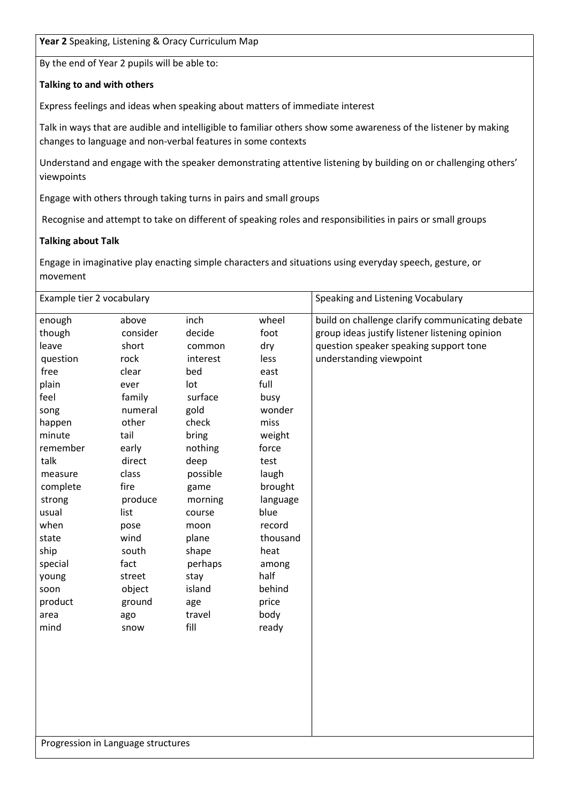Year 2 Speaking, Listening & Oracy Curriculum Map

By the end of Year 2 pupils will be able to:

#### Talking to and with others

Express feelings and ideas when speaking about matters of immediate interest

Talk in ways that are audible and intelligible to familiar others show some awareness of the listener by making changes to language and non-verbal features in some contexts

Understand and engage with the speaker demonstrating attentive listening by building on or challenging others' viewpoints

Engage with others through taking turns in pairs and small groups

Recognise and attempt to take on different of speaking roles and responsibilities in pairs or small groups

#### Talking about Talk

Engage in imaginative play enacting simple characters and situations using everyday speech, gesture, or movement

| Example tier 2 vocabulary          |          |          | Speaking and Listening Vocabulary |                                                 |  |  |
|------------------------------------|----------|----------|-----------------------------------|-------------------------------------------------|--|--|
| enough                             | above    | inch     | wheel                             | build on challenge clarify communicating debate |  |  |
| though                             | consider | decide   | foot                              | group ideas justify listener listening opinion  |  |  |
| leave                              | short    | common   | dry                               | question speaker speaking support tone          |  |  |
| question                           | rock     | interest | less                              | understanding viewpoint                         |  |  |
| free                               | clear    | bed      | east                              |                                                 |  |  |
| plain                              | ever     | lot      | full                              |                                                 |  |  |
| feel                               | family   | surface  | busy                              |                                                 |  |  |
| song                               | numeral  | gold     | wonder                            |                                                 |  |  |
| happen                             | other    | check    | miss                              |                                                 |  |  |
| minute                             | tail     | bring    | weight                            |                                                 |  |  |
| remember                           | early    | nothing  | force                             |                                                 |  |  |
| talk                               | direct   | deep     | test                              |                                                 |  |  |
| measure                            | class    | possible | laugh                             |                                                 |  |  |
| complete                           | fire     | game     | brought                           |                                                 |  |  |
| strong                             | produce  | morning  | language                          |                                                 |  |  |
| usual                              | list     | course   | blue                              |                                                 |  |  |
| when                               | pose     | moon     | record                            |                                                 |  |  |
| state                              | wind     | plane    | thousand                          |                                                 |  |  |
| ship                               | south    | shape    | heat                              |                                                 |  |  |
| special                            | fact     | perhaps  | among                             |                                                 |  |  |
| young                              | street   | stay     | half                              |                                                 |  |  |
| soon                               | object   | island   | behind                            |                                                 |  |  |
| product                            | ground   | age      | price                             |                                                 |  |  |
| area                               | ago      | travel   | body                              |                                                 |  |  |
| mind                               | snow     | fill     | ready                             |                                                 |  |  |
|                                    |          |          |                                   |                                                 |  |  |
|                                    |          |          |                                   |                                                 |  |  |
|                                    |          |          |                                   |                                                 |  |  |
|                                    |          |          |                                   |                                                 |  |  |
|                                    |          |          |                                   |                                                 |  |  |
|                                    |          |          |                                   |                                                 |  |  |
|                                    |          |          |                                   |                                                 |  |  |
|                                    |          |          |                                   |                                                 |  |  |
| Progression in Language structures |          |          |                                   |                                                 |  |  |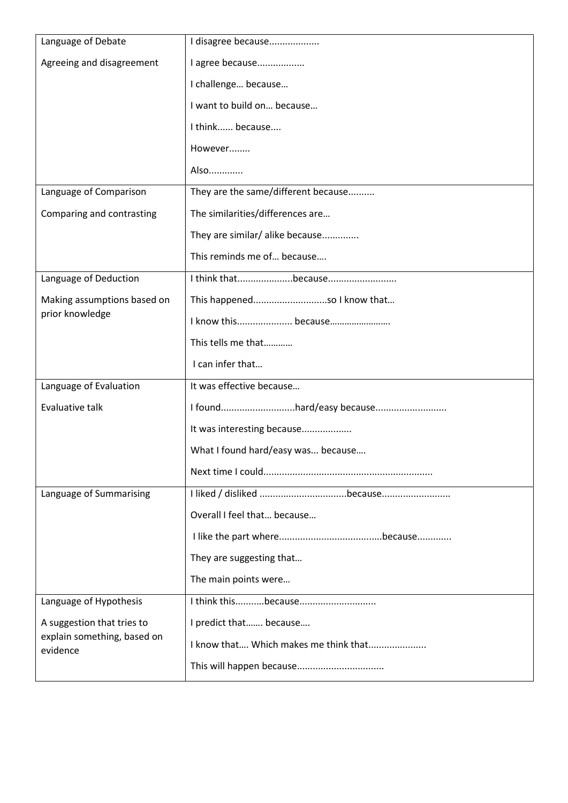| Language of Debate                      | I disagree because                    |  |  |
|-----------------------------------------|---------------------------------------|--|--|
| Agreeing and disagreement               | I agree because                       |  |  |
|                                         | I challenge because                   |  |  |
|                                         | I want to build on because            |  |  |
|                                         | I think because                       |  |  |
|                                         | However                               |  |  |
|                                         | Also                                  |  |  |
| Language of Comparison                  | They are the same/different because   |  |  |
| Comparing and contrasting               | The similarities/differences are      |  |  |
|                                         | They are similar/ alike because       |  |  |
|                                         | This reminds me of because            |  |  |
| Language of Deduction                   | I think thatbecause                   |  |  |
| Making assumptions based on             | This happenedso I know that           |  |  |
| prior knowledge                         | I know this because                   |  |  |
|                                         | This tells me that                    |  |  |
|                                         | I can infer that                      |  |  |
| Language of Evaluation                  | It was effective because              |  |  |
| Evaluative talk                         | I foundhard/easy because              |  |  |
|                                         | It was interesting because            |  |  |
|                                         | What I found hard/easy was because    |  |  |
|                                         |                                       |  |  |
| Language of Summarising                 |                                       |  |  |
|                                         | Overall I feel that because           |  |  |
|                                         |                                       |  |  |
|                                         | They are suggesting that              |  |  |
|                                         | The main points were                  |  |  |
| Language of Hypothesis                  |                                       |  |  |
| A suggestion that tries to              | I predict that because                |  |  |
| explain something, based on<br>evidence | I know that Which makes me think that |  |  |
|                                         |                                       |  |  |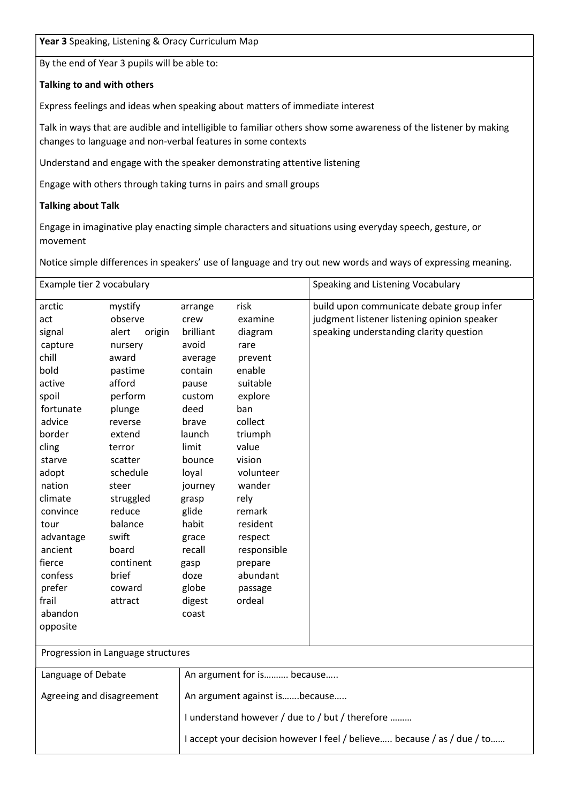Year 3 Speaking, Listening & Oracy Curriculum Map

By the end of Year 3 pupils will be able to:

#### Talking to and with others

Express feelings and ideas when speaking about matters of immediate interest

Talk in ways that are audible and intelligible to familiar others show some awareness of the listener by making changes to language and non-verbal features in some contexts

Understand and engage with the speaker demonstrating attentive listening

Engage with others through taking turns in pairs and small groups

#### Talking about Talk

Engage in imaginative play enacting simple characters and situations using everyday speech, gesture, or movement

Notice simple differences in speakers' use of language and try out new words and ways of expressing meaning.

| Example tier 2 vocabulary          |                 |                                                                         |                            | Speaking and Listening Vocabulary           |
|------------------------------------|-----------------|-------------------------------------------------------------------------|----------------------------|---------------------------------------------|
| arctic                             | mystify         | arrange                                                                 | risk                       | build upon communicate debate group infer   |
| act                                | observe         | crew                                                                    | examine                    | judgment listener listening opinion speaker |
| signal                             | alert<br>origin | brilliant                                                               | diagram                    | speaking understanding clarity question     |
| capture                            | nursery         | avoid                                                                   | rare                       |                                             |
| chill                              | award           | average                                                                 | prevent                    |                                             |
| bold                               | pastime         | contain                                                                 | enable                     |                                             |
| active                             | afford          | pause                                                                   | suitable                   |                                             |
| spoil                              | perform         | custom                                                                  | explore                    |                                             |
| fortunate                          | plunge          | deed                                                                    | ban                        |                                             |
| advice                             | reverse         | brave                                                                   | collect                    |                                             |
| border                             | extend          | launch                                                                  | triumph                    |                                             |
| cling                              | terror          | limit                                                                   | value                      |                                             |
| starve                             | scatter         | bounce                                                                  | vision                     |                                             |
| adopt                              | schedule        | loyal                                                                   | volunteer                  |                                             |
| nation                             | steer           | journey                                                                 | wander                     |                                             |
| climate                            | struggled       | grasp                                                                   | rely                       |                                             |
| convince                           | reduce          | glide                                                                   | remark                     |                                             |
| tour                               | balance         | habit                                                                   | resident                   |                                             |
| advantage                          | swift           | grace                                                                   | respect                    |                                             |
| ancient                            | board           | recall                                                                  | responsible                |                                             |
| fierce                             | continent       | gasp                                                                    | prepare                    |                                             |
| confess                            | brief           | doze                                                                    | abundant                   |                                             |
| prefer                             | coward          | globe                                                                   | passage                    |                                             |
| frail                              | attract         | digest                                                                  | ordeal                     |                                             |
| abandon                            |                 | coast                                                                   |                            |                                             |
| opposite                           |                 |                                                                         |                            |                                             |
| Progression in Language structures |                 |                                                                         |                            |                                             |
| Language of Debate                 |                 |                                                                         | An argument for is because |                                             |
| Agreeing and disagreement          |                 | An argument against isbecause                                           |                            |                                             |
|                                    |                 | I understand however / due to / but / therefore                         |                            |                                             |
|                                    |                 | I accept your decision however I feel / believe because / as / due / to |                            |                                             |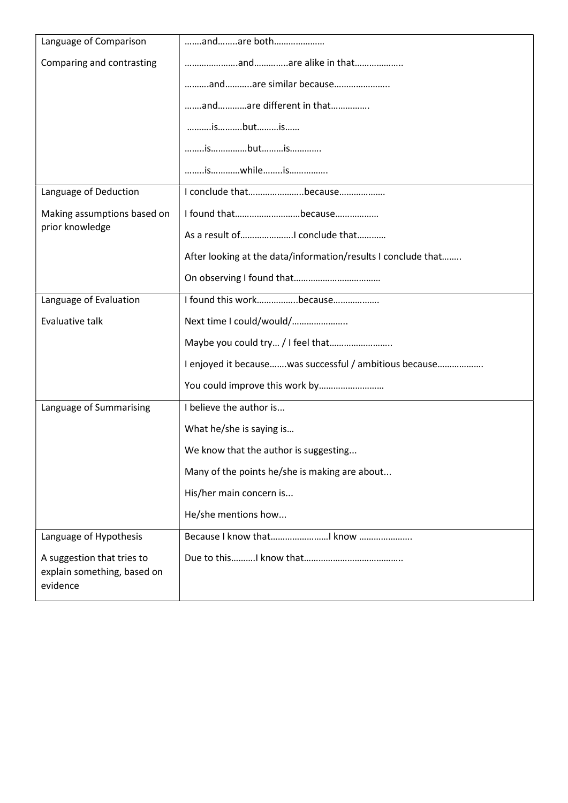| Language of Comparison                                                | andare both                                                   |
|-----------------------------------------------------------------------|---------------------------------------------------------------|
| Comparing and contrasting                                             |                                                               |
|                                                                       | andare similar because                                        |
|                                                                       | andare different in that                                      |
|                                                                       | isbutis                                                       |
|                                                                       |                                                               |
|                                                                       | iswhileis                                                     |
| Language of Deduction                                                 | I conclude thatbecause                                        |
| Making assumptions based on                                           | I found thatbecause                                           |
| prior knowledge                                                       |                                                               |
|                                                                       | After looking at the data/information/results I conclude that |
|                                                                       |                                                               |
| Language of Evaluation                                                | I found this workbecause                                      |
| Evaluative talk                                                       | Next time I could/would/                                      |
|                                                                       |                                                               |
|                                                                       | I enjoyed it because was successful / ambitious because       |
|                                                                       | You could improve this work by                                |
| Language of Summarising                                               | I believe the author is                                       |
|                                                                       | What he/she is saying is                                      |
|                                                                       | We know that the author is suggesting                         |
|                                                                       | Many of the points he/she is making are about                 |
|                                                                       | His/her main concern is                                       |
|                                                                       | He/she mentions how                                           |
| Language of Hypothesis                                                | Because I know that know                                      |
| A suggestion that tries to<br>explain something, based on<br>evidence |                                                               |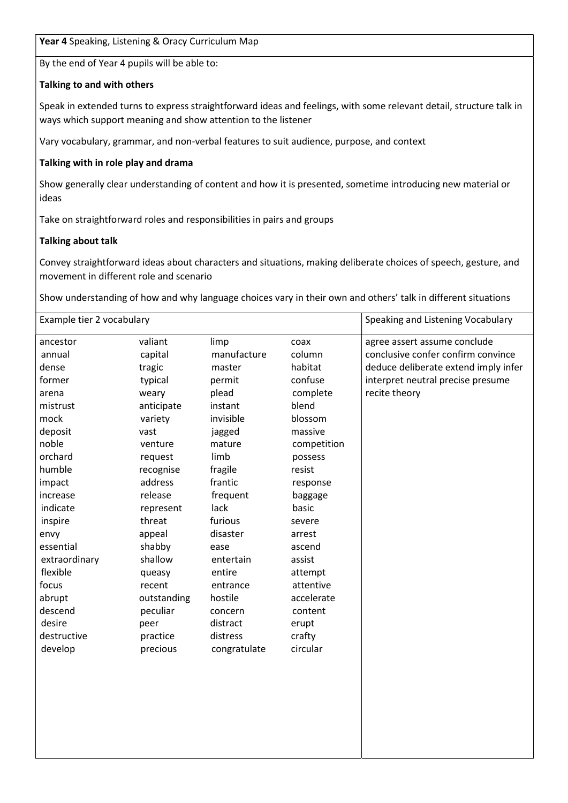By the end of Year 4 pupils will be able to:

## Talking to and with others

Speak in extended turns to express straightforward ideas and feelings, with some relevant detail, structure talk in ways which support meaning and show attention to the listener

Vary vocabulary, grammar, and non-verbal features to suit audience, purpose, and context

## Talking with in role play and drama

Show generally clear understanding of content and how it is presented, sometime introducing new material or ideas

Take on straightforward roles and responsibilities in pairs and groups

### Talking about talk

Convey straightforward ideas about characters and situations, making deliberate choices of speech, gesture, and movement in different role and scenario

Show understanding of how and why language choices vary in their own and others' talk in different situations

| Example tier 2 vocabulary |             |              | Speaking and Listening Vocabulary |                                      |
|---------------------------|-------------|--------------|-----------------------------------|--------------------------------------|
| ancestor                  | valiant     | limp         | coax                              | agree assert assume conclude         |
| annual                    | capital     | manufacture  | column                            | conclusive confer confirm convince   |
| dense                     | tragic      | master       | habitat                           | deduce deliberate extend imply infer |
| former                    | typical     | permit       | confuse                           | interpret neutral precise presume    |
| arena                     | weary       | plead        | complete                          | recite theory                        |
| mistrust                  | anticipate  | instant      | blend                             |                                      |
| mock                      | variety     | invisible    | blossom                           |                                      |
| deposit                   | vast        | jagged       | massive                           |                                      |
| noble                     | venture     | mature       | competition                       |                                      |
| orchard                   | request     | limb         | possess                           |                                      |
| humble                    | recognise   | fragile      | resist                            |                                      |
| impact                    | address     | frantic      | response                          |                                      |
| increase                  | release     | frequent     | baggage                           |                                      |
| indicate                  | represent   | lack         | basic                             |                                      |
| inspire                   | threat      | furious      | severe                            |                                      |
| envy                      | appeal      | disaster     | arrest                            |                                      |
| essential                 | shabby      | ease         | ascend                            |                                      |
| extraordinary             | shallow     | entertain    | assist                            |                                      |
| flexible                  | queasy      | entire       | attempt                           |                                      |
| focus                     | recent      | entrance     | attentive                         |                                      |
| abrupt                    | outstanding | hostile      | accelerate                        |                                      |
| descend                   | peculiar    | concern      | content                           |                                      |
| desire                    | peer        | distract     | erupt                             |                                      |
| destructive               | practice    | distress     | crafty                            |                                      |
| develop                   | precious    | congratulate | circular                          |                                      |
|                           |             |              |                                   |                                      |
|                           |             |              |                                   |                                      |
|                           |             |              |                                   |                                      |
|                           |             |              |                                   |                                      |
|                           |             |              |                                   |                                      |
|                           |             |              |                                   |                                      |
|                           |             |              |                                   |                                      |
|                           |             |              |                                   |                                      |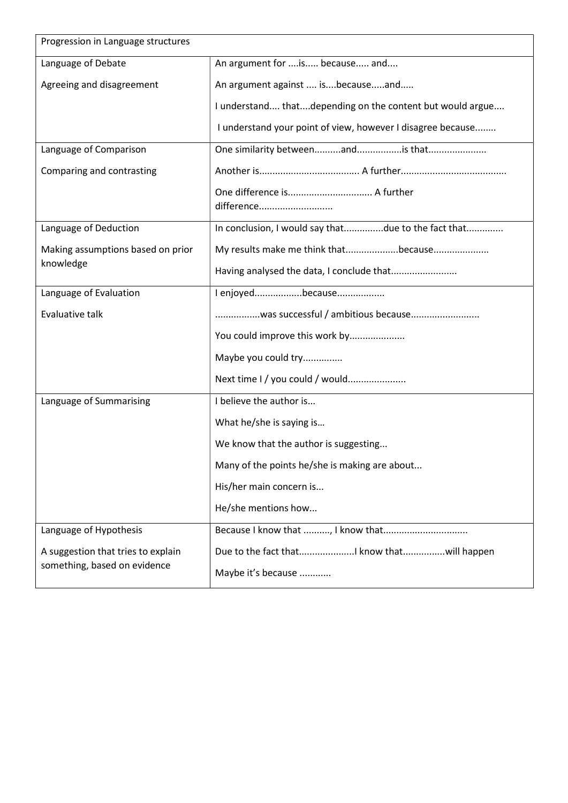| Progression in Language structures |                                                             |  |  |
|------------------------------------|-------------------------------------------------------------|--|--|
| Language of Debate                 | An argument for  is because and                             |  |  |
| Agreeing and disagreement          | An argument against  isbecauseand                           |  |  |
|                                    | I understand thatdepending on the content but would argue   |  |  |
|                                    | I understand your point of view, however I disagree because |  |  |
| Language of Comparison             | One similarity betweenandis that                            |  |  |
| Comparing and contrasting          |                                                             |  |  |
|                                    | difference                                                  |  |  |
| Language of Deduction              | In conclusion, I would say thatdue to the fact that         |  |  |
| Making assumptions based on prior  | My results make me think thatbecause                        |  |  |
| knowledge                          | Having analysed the data, I conclude that                   |  |  |
| Language of Evaluation             | I enjoyedbecause                                            |  |  |
| Evaluative talk                    | was successful / ambitious because                          |  |  |
|                                    | You could improve this work by                              |  |  |
|                                    | Maybe you could try                                         |  |  |
|                                    | Next time I / you could / would                             |  |  |
| Language of Summarising            | I believe the author is                                     |  |  |
|                                    | What he/she is saying is                                    |  |  |
|                                    | We know that the author is suggesting                       |  |  |
|                                    | Many of the points he/she is making are about               |  |  |
|                                    | His/her main concern is                                     |  |  |
|                                    | He/she mentions how                                         |  |  |
| Language of Hypothesis             |                                                             |  |  |
| A suggestion that tries to explain | Due to the fact that know thatwill happen                   |  |  |
| something, based on evidence       | Maybe it's because                                          |  |  |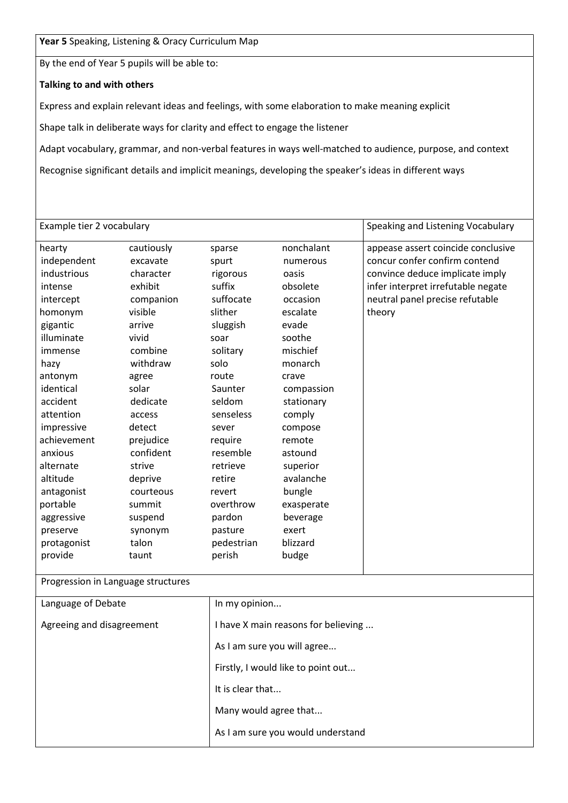Year 5 Speaking, Listening & Oracy Curriculum Map

By the end of Year 5 pupils will be able to:

#### Talking to and with others

Express and explain relevant ideas and feelings, with some elaboration to make meaning explicit

Shape talk in deliberate ways for clarity and effect to engage the listener

Adapt vocabulary, grammar, and non-verbal features in ways well-matched to audience, purpose, and context

Recognise significant details and implicit meanings, developing the speaker's ideas in different ways

| Example tier 2 vocabulary          |            |                                     |                                    | Speaking and Listening Vocabulary  |
|------------------------------------|------------|-------------------------------------|------------------------------------|------------------------------------|
| hearty                             | cautiously | sparse                              | nonchalant                         | appease assert coincide conclusive |
| independent                        | excavate   | spurt                               | numerous                           | concur confer confirm contend      |
| industrious                        | character  | rigorous                            | oasis                              | convince deduce implicate imply    |
| intense                            | exhibit    | suffix                              | obsolete                           | infer interpret irrefutable negate |
| intercept                          | companion  | suffocate                           | occasion                           | neutral panel precise refutable    |
| homonym                            | visible    | slither                             | escalate                           | theory                             |
| gigantic                           | arrive     | sluggish                            | evade                              |                                    |
| illuminate                         | vivid      | soar                                | soothe                             |                                    |
| immense                            | combine    | solitary                            | mischief                           |                                    |
| hazy                               | withdraw   | solo                                | monarch                            |                                    |
| antonym                            | agree      | route                               | crave                              |                                    |
| identical                          | solar      | Saunter                             | compassion                         |                                    |
| accident                           | dedicate   | seldom                              | stationary                         |                                    |
| attention                          | access     | senseless                           | comply                             |                                    |
| impressive                         | detect     | sever                               | compose                            |                                    |
| achievement                        | prejudice  | require                             | remote                             |                                    |
| anxious                            | confident  | resemble                            | astound                            |                                    |
| alternate                          | strive     | retrieve                            | superior                           |                                    |
| altitude                           | deprive    | retire                              | avalanche                          |                                    |
| antagonist                         | courteous  | revert                              | bungle                             |                                    |
| portable                           | summit     | overthrow                           | exasperate                         |                                    |
| aggressive                         | suspend    | pardon                              | beverage                           |                                    |
| preserve                           | synonym    | pasture                             | exert                              |                                    |
| protagonist                        | talon      | pedestrian                          | blizzard                           |                                    |
| provide                            | taunt      | perish                              | budge                              |                                    |
| Progression in Language structures |            |                                     |                                    |                                    |
| Language of Debate                 |            | In my opinion                       |                                    |                                    |
| Agreeing and disagreement          |            | I have X main reasons for believing |                                    |                                    |
|                                    |            | As I am sure you will agree         |                                    |                                    |
|                                    |            |                                     | Firstly, I would like to point out |                                    |
|                                    |            | It is clear that                    |                                    |                                    |
|                                    |            | Many would agree that               |                                    |                                    |
|                                    |            |                                     | As I am sure you would understand  |                                    |
|                                    |            |                                     |                                    |                                    |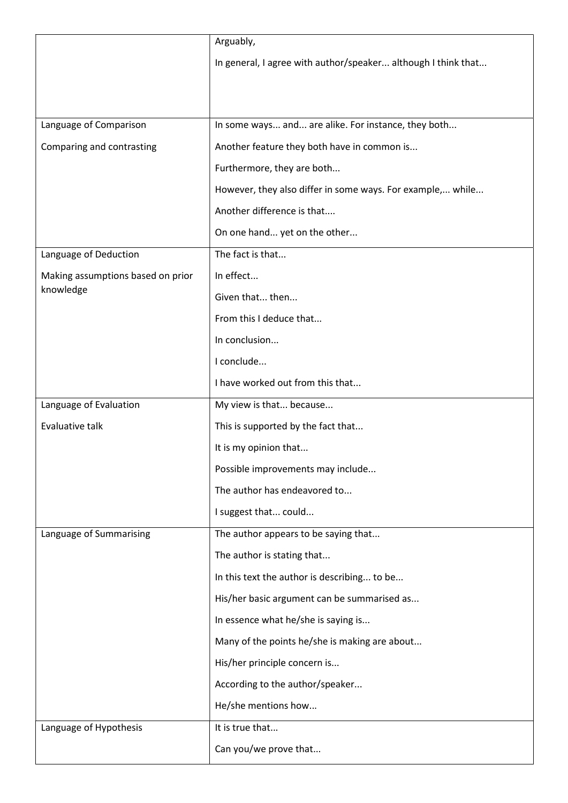|                                   | Arguably,                                                     |
|-----------------------------------|---------------------------------------------------------------|
|                                   | In general, I agree with author/speaker although I think that |
|                                   |                                                               |
|                                   |                                                               |
| Language of Comparison            | In some ways and are alike. For instance, they both           |
| Comparing and contrasting         | Another feature they both have in common is                   |
|                                   | Furthermore, they are both                                    |
|                                   | However, they also differ in some ways. For example, while    |
|                                   | Another difference is that                                    |
|                                   | On one hand yet on the other                                  |
| Language of Deduction             | The fact is that                                              |
| Making assumptions based on prior | In effect                                                     |
| knowledge                         | Given that then                                               |
|                                   | From this I deduce that                                       |
|                                   | In conclusion                                                 |
|                                   | I conclude                                                    |
|                                   | I have worked out from this that                              |
|                                   |                                                               |
| Language of Evaluation            | My view is that because                                       |
| Evaluative talk                   | This is supported by the fact that                            |
|                                   | It is my opinion that                                         |
|                                   | Possible improvements may include                             |
|                                   | The author has endeavored to                                  |
|                                   | I suggest that could                                          |
| Language of Summarising           | The author appears to be saying that                          |
|                                   | The author is stating that                                    |
|                                   | In this text the author is describing to be                   |
|                                   | His/her basic argument can be summarised as                   |
|                                   | In essence what he/she is saying is                           |
|                                   | Many of the points he/she is making are about                 |
|                                   | His/her principle concern is                                  |
|                                   | According to the author/speaker                               |
|                                   | He/she mentions how                                           |
| Language of Hypothesis            | It is true that                                               |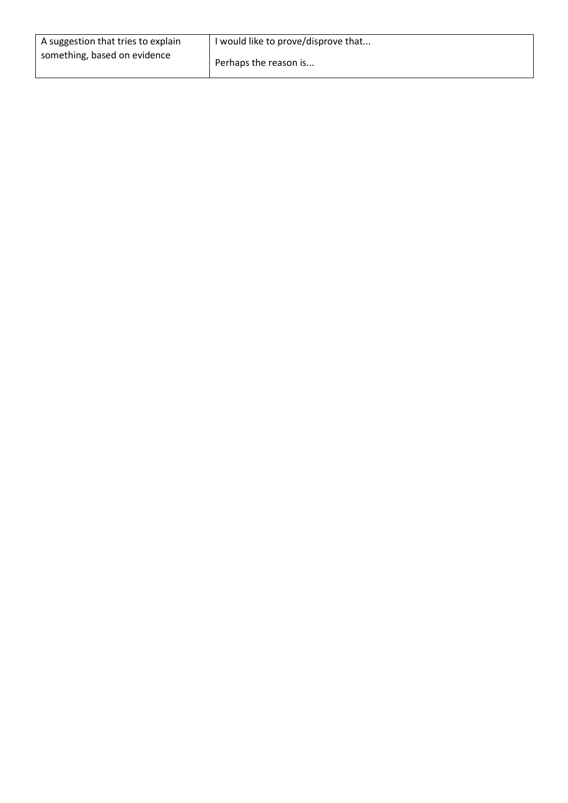| A suggestion that tries to explain | I would like to prove/disprove that |
|------------------------------------|-------------------------------------|
| something, based on evidence       | Perhaps the reason is               |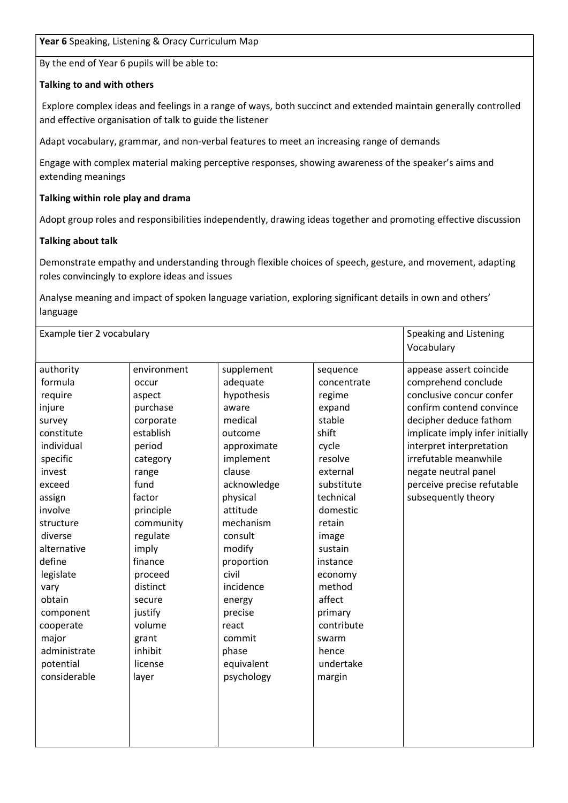#### Year 6 Speaking, Listening & Oracy Curriculum Map

By the end of Year 6 pupils will be able to:

#### Talking to and with others

 Explore complex ideas and feelings in a range of ways, both succinct and extended maintain generally controlled and effective organisation of talk to guide the listener

Adapt vocabulary, grammar, and non-verbal features to meet an increasing range of demands

Engage with complex material making perceptive responses, showing awareness of the speaker's aims and extending meanings

#### Talking within role play and drama

Adopt group roles and responsibilities independently, drawing ideas together and promoting effective discussion

#### Talking about talk

Demonstrate empathy and understanding through flexible choices of speech, gesture, and movement, adapting roles convincingly to explore ideas and issues

Analyse meaning and impact of spoken language variation, exploring significant details in own and others' language

| Example tier 2 vocabulary                                                                                                                                                                                                                                                                            |                                                                                                                                                                                                                                                                               |                                                                                                                                                                                                                                                                                                     |                                                                                                                                                                                                                                                                                  | Speaking and Listening<br>Vocabulary                                                                                                                                                                                                                                                                  |
|------------------------------------------------------------------------------------------------------------------------------------------------------------------------------------------------------------------------------------------------------------------------------------------------------|-------------------------------------------------------------------------------------------------------------------------------------------------------------------------------------------------------------------------------------------------------------------------------|-----------------------------------------------------------------------------------------------------------------------------------------------------------------------------------------------------------------------------------------------------------------------------------------------------|----------------------------------------------------------------------------------------------------------------------------------------------------------------------------------------------------------------------------------------------------------------------------------|-------------------------------------------------------------------------------------------------------------------------------------------------------------------------------------------------------------------------------------------------------------------------------------------------------|
| authority<br>formula<br>require<br>injure<br>survey<br>constitute<br>individual<br>specific<br>invest<br>exceed<br>assign<br>involve<br>structure<br>diverse<br>alternative<br>define<br>legislate<br>vary<br>obtain<br>component<br>cooperate<br>major<br>administrate<br>potential<br>considerable | environment<br>occur<br>aspect<br>purchase<br>corporate<br>establish<br>period<br>category<br>range<br>fund<br>factor<br>principle<br>community<br>regulate<br>imply<br>finance<br>proceed<br>distinct<br>secure<br>justify<br>volume<br>grant<br>inhibit<br>license<br>layer | supplement<br>adequate<br>hypothesis<br>aware<br>medical<br>outcome<br>approximate<br>implement<br>clause<br>acknowledge<br>physical<br>attitude<br>mechanism<br>consult<br>modify<br>proportion<br>civil<br>incidence<br>energy<br>precise<br>react<br>commit<br>phase<br>equivalent<br>psychology | sequence<br>concentrate<br>regime<br>expand<br>stable<br>shift<br>cycle<br>resolve<br>external<br>substitute<br>technical<br>domestic<br>retain<br>image<br>sustain<br>instance<br>economy<br>method<br>affect<br>primary<br>contribute<br>swarm<br>hence<br>undertake<br>margin | appease assert coincide<br>comprehend conclude<br>conclusive concur confer<br>confirm contend convince<br>decipher deduce fathom<br>implicate imply infer initially<br>interpret interpretation<br>irrefutable meanwhile<br>negate neutral panel<br>perceive precise refutable<br>subsequently theory |
|                                                                                                                                                                                                                                                                                                      |                                                                                                                                                                                                                                                                               |                                                                                                                                                                                                                                                                                                     |                                                                                                                                                                                                                                                                                  |                                                                                                                                                                                                                                                                                                       |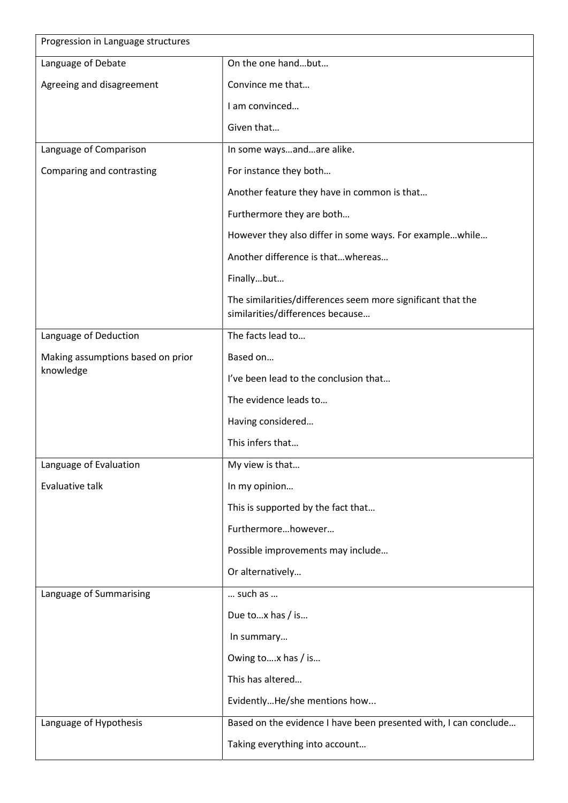| Progression in Language structures |                                                                                                 |
|------------------------------------|-------------------------------------------------------------------------------------------------|
| Language of Debate                 | On the one handbut                                                                              |
| Agreeing and disagreement          | Convince me that                                                                                |
|                                    | I am convinced                                                                                  |
|                                    | Given that                                                                                      |
| Language of Comparison             | In some waysandare alike.                                                                       |
| Comparing and contrasting          | For instance they both                                                                          |
|                                    | Another feature they have in common is that                                                     |
|                                    | Furthermore they are both                                                                       |
|                                    | However they also differ in some ways. For examplewhile                                         |
|                                    | Another difference is thatwhereas                                                               |
|                                    | Finallybut                                                                                      |
|                                    | The similarities/differences seem more significant that the<br>similarities/differences because |
| Language of Deduction              | The facts lead to                                                                               |
| Making assumptions based on prior  | Based on                                                                                        |
| knowledge                          | I've been lead to the conclusion that                                                           |
|                                    | The evidence leads to                                                                           |
|                                    | Having considered                                                                               |
|                                    | This infers that                                                                                |
| Language of Evaluation             | My view is that                                                                                 |
| Evaluative talk                    | In my opinion                                                                                   |
|                                    | This is supported by the fact that                                                              |
|                                    | Furthermorehowever                                                                              |
|                                    | Possible improvements may include                                                               |
|                                    | Or alternatively                                                                                |
| Language of Summarising            | such as                                                                                         |
|                                    | Due tox has / is                                                                                |
|                                    | In summary                                                                                      |
|                                    | Owing tox has / is                                                                              |
|                                    | This has altered                                                                                |
|                                    | EvidentlyHe/she mentions how                                                                    |
| Language of Hypothesis             | Based on the evidence I have been presented with, I can conclude                                |
|                                    | Taking everything into account                                                                  |